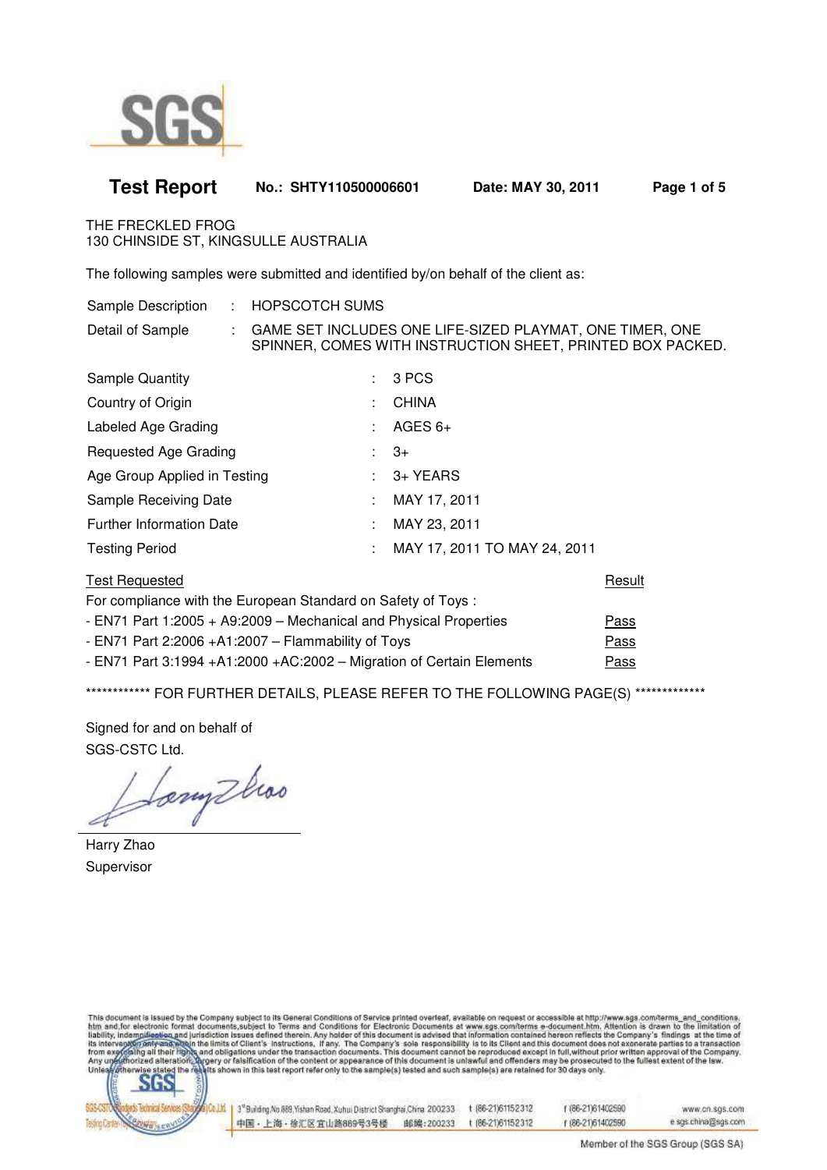

| <b>Test Report</b>                                                                 | No.: SHTY110500006601                                                                                                    |              | Date: MAY 30, 2011           | Page 1 of 5 |
|------------------------------------------------------------------------------------|--------------------------------------------------------------------------------------------------------------------------|--------------|------------------------------|-------------|
| THE FRECKLED FROG<br>130 CHINSIDE ST, KINGSULLE AUSTRALIA                          |                                                                                                                          |              |                              |             |
| The following samples were submitted and identified by/on behalf of the client as: |                                                                                                                          |              |                              |             |
| Sample Description                                                                 | : HOPSCOTCH SUMS                                                                                                         |              |                              |             |
| Detail of Sample                                                                   | : GAME SET INCLUDES ONE LIFE-SIZED PLAYMAT, ONE TIMER, ONE<br>SPINNER, COMES WITH INSTRUCTION SHEET, PRINTED BOX PACKED. |              |                              |             |
| <b>Sample Quantity</b>                                                             | ÷.                                                                                                                       | 3 PCS        |                              |             |
| Country of Origin                                                                  |                                                                                                                          | <b>CHINA</b> |                              |             |
| Labeled Age Grading                                                                |                                                                                                                          | AGES $6+$    |                              |             |
| Requested Age Grading                                                              |                                                                                                                          | $3+$         |                              |             |
| Age Group Applied in Testing                                                       |                                                                                                                          | 3+ YEARS     |                              |             |
| Sample Receiving Date                                                              |                                                                                                                          | MAY 17, 2011 |                              |             |
| <b>Further Information Date</b>                                                    |                                                                                                                          | MAY 23, 2011 |                              |             |
| <b>Testing Period</b>                                                              |                                                                                                                          |              | MAY 17, 2011 TO MAY 24, 2011 |             |
| <b>Test Requested</b>                                                              |                                                                                                                          |              |                              | Result      |
| For compliance with the European Standard on Safety of Toys:                       |                                                                                                                          |              |                              |             |
| - EN71 Part 1:2005 + A9:2009 - Mechanical and Physical Properties<br>Pass          |                                                                                                                          |              |                              |             |
| - EN71 Part 2:2006 + A1:2007 - Flammability of Toys<br><b>Pass</b>                 |                                                                                                                          |              |                              |             |
| - EN71 Part 3:1994 +A1:2000 +AC:2002 - Migration of Certain Elements               |                                                                                                                          |              |                              | Pass        |

\*\*\*\*\*\*\*\*\*\*\*\*\* FOR FURTHER DETAILS, PLEASE REFER TO THE FOLLOWING PAGE(S) \*\*\*\*\*\*\*\*\*\*\*\*\*\*

Signed for and on behalf of SGS-CSTC Ltd.

Sony two

Harry Zhao Supervisor

This document is issued by the Company subject to its General Conditions of Service printed overleaf, available on request or accessible at http://www.sgs.com/terms\_and\_conditions.<br>http://www.sgs.com/terms\_and\_conditions.<br>



| 1 3" Building No.889, Yishan Road, Xuhui District Shanghai China. 200233. | t 86-21)61152312 | f (86-21)61402590 | www.cn.sgs.com      |
|---------------------------------------------------------------------------|------------------|-------------------|---------------------|
| 中国・上海・徐汇区宜山路889号3号楼<br>邮编:200233                                          | 186-21061152312  | 1 186-21161402590 | e sgs.china@sgs.com |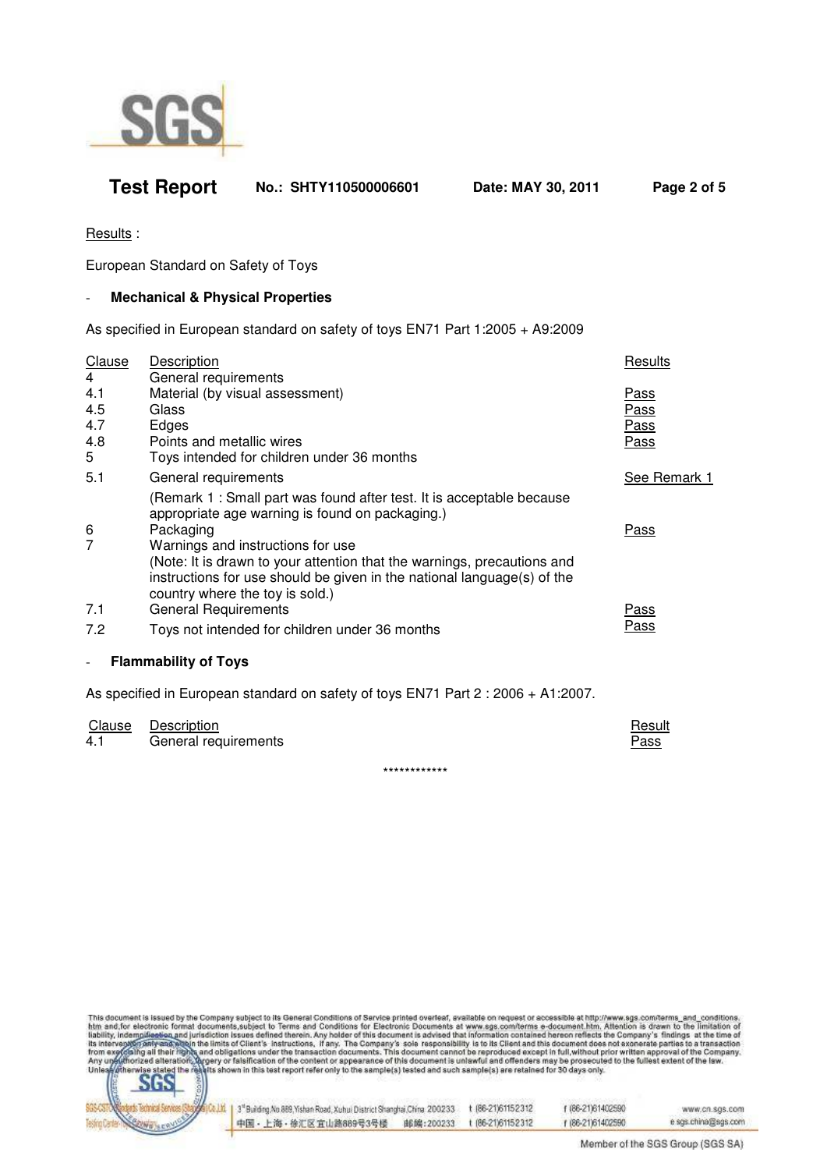

## **Test Report No.: SHTY110500006601 Date: MAY 30, 2011 Page 2 of 5**

Results :

European Standard on Safety of Toys

### - **Mechanical & Physical Properties**

As specified in European standard on safety of toys EN71 Part 1:2005 + A9:2009

| <b>Clause</b>            | Description                                                                                                                                                                           | Results      |
|--------------------------|---------------------------------------------------------------------------------------------------------------------------------------------------------------------------------------|--------------|
| 4<br>4.1                 | General requirements<br>Material (by visual assessment)                                                                                                                               | Pass         |
| 4.5                      | Glass                                                                                                                                                                                 | <u>Pass</u>  |
| 4.7                      | Edges                                                                                                                                                                                 | <u>Pass</u>  |
| 4.8<br>5                 | Points and metallic wires<br>Toys intended for children under 36 months                                                                                                               | <u>Pass</u>  |
| 5.1                      | General requirements                                                                                                                                                                  | See Remark 1 |
|                          | (Remark 1: Small part was found after test. It is acceptable because<br>appropriate age warning is found on packaging.)                                                               |              |
| 6<br>$\overline{7}$      | Packaging<br>Warnings and instructions for use                                                                                                                                        | <b>Pass</b>  |
|                          | (Note: It is drawn to your attention that the warnings, precautions and<br>instructions for use should be given in the national language(s) of the<br>country where the toy is sold.) |              |
| 7.1                      | <b>General Requirements</b>                                                                                                                                                           | <u>Pass</u>  |
| 7.2                      | Toys not intended for children under 36 months                                                                                                                                        | Pass         |
| $\overline{\phantom{m}}$ | <b>Flammability of Toys</b>                                                                                                                                                           |              |

As specified in European standard on safety of toys EN71 Part 2 : 2006 + A1:2007.

|     | Clause Description   | Result |
|-----|----------------------|--------|
| 4.1 | General requirements | Pass   |
|     |                      |        |

\*\*\*\*\*\*\*\*\*\*\*\*

This document is issued by the Company subject to its General Conditions of Service printed overleaf, available on request or accessible at http://www.sgs.com/terms\_and\_conditions.<br>htm\_and\_for\_electronic\_formst\_documents\_s



| 1 3" Building No.889, Yishan Road, Xuhui District Shanghai China. 200233 | t 86-21)61152312  | f (86-21)61402590 | www.cn.sgs.com      |
|--------------------------------------------------------------------------|-------------------|-------------------|---------------------|
| 中国 - 上海 - 徐汇区宜山路889号3号楼<br>邮编:200233                                     | t (86-21)61152312 | 186-2161402590    | e sgs.china@sgs.com |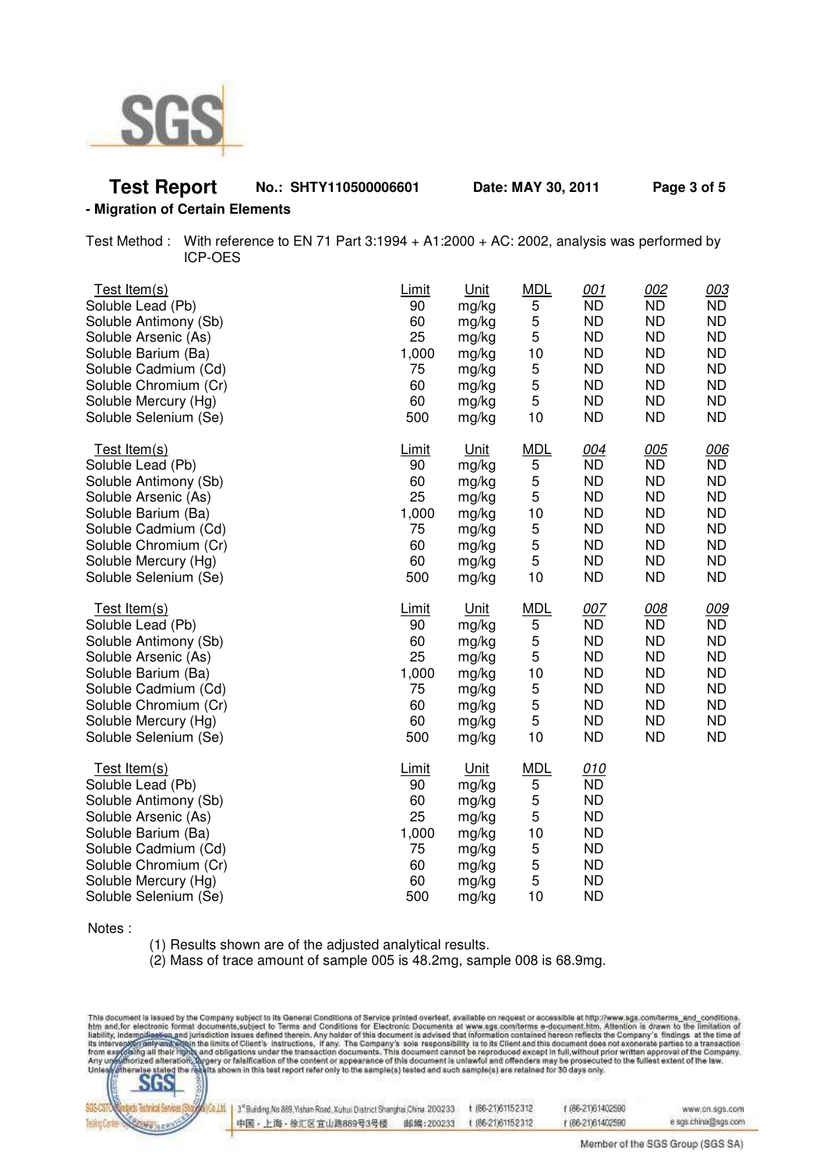

# **Test Report No.: SHTY110500006601 Date: MAY 30, 2011 Page 3 of 5**

#### **- Migration of Certain Elements**

Test Method : With reference to EN 71 Part 3:1994 + A1:2000 + AC: 2002, analysis was performed by ICP-OES

| Test Item(s)                                                                                                                                                                                                | Limit                                                            | <u>Unit</u>                                                                  | <b>MDL</b>                                           | 001                                                                                                         | 002       | 003       |
|-------------------------------------------------------------------------------------------------------------------------------------------------------------------------------------------------------------|------------------------------------------------------------------|------------------------------------------------------------------------------|------------------------------------------------------|-------------------------------------------------------------------------------------------------------------|-----------|-----------|
| Soluble Lead (Pb)                                                                                                                                                                                           | 90                                                               | mg/kg                                                                        | 5                                                    | <b>ND</b>                                                                                                   | <b>ND</b> | <b>ND</b> |
| Soluble Antimony (Sb)                                                                                                                                                                                       | 60                                                               | mg/kg                                                                        | 5                                                    | <b>ND</b>                                                                                                   | <b>ND</b> | <b>ND</b> |
| Soluble Arsenic (As)                                                                                                                                                                                        | 25                                                               | mg/kg                                                                        | 5                                                    | <b>ND</b>                                                                                                   | <b>ND</b> | <b>ND</b> |
| Soluble Barium (Ba)                                                                                                                                                                                         | 1,000                                                            | mg/kg                                                                        | 10                                                   | <b>ND</b>                                                                                                   | <b>ND</b> | <b>ND</b> |
| Soluble Cadmium (Cd)                                                                                                                                                                                        | 75                                                               | mg/kg                                                                        | 5                                                    | <b>ND</b>                                                                                                   | <b>ND</b> | <b>ND</b> |
| Soluble Chromium (Cr)                                                                                                                                                                                       | 60                                                               | mg/kg                                                                        | 5                                                    | <b>ND</b>                                                                                                   | <b>ND</b> | <b>ND</b> |
| Soluble Mercury (Hg)                                                                                                                                                                                        | 60                                                               | mg/kg                                                                        | 5                                                    | <b>ND</b>                                                                                                   | <b>ND</b> | <b>ND</b> |
| Soluble Selenium (Se)                                                                                                                                                                                       | 500                                                              | mg/kg                                                                        | 10                                                   | <b>ND</b>                                                                                                   | <b>ND</b> | <b>ND</b> |
| Test Item(s)                                                                                                                                                                                                | Limit                                                            | Unit                                                                         | <b>MDL</b>                                           | 004                                                                                                         | 005       | 006       |
| Soluble Lead (Pb)                                                                                                                                                                                           | 90                                                               | mg/kg                                                                        | 5                                                    | <b>ND</b>                                                                                                   | <b>ND</b> | <b>ND</b> |
| Soluble Antimony (Sb)                                                                                                                                                                                       | 60                                                               | mg/kg                                                                        | 5                                                    | <b>ND</b>                                                                                                   | <b>ND</b> | <b>ND</b> |
| Soluble Arsenic (As)                                                                                                                                                                                        | 25                                                               | mg/kg                                                                        | 5                                                    | <b>ND</b>                                                                                                   | <b>ND</b> | <b>ND</b> |
| Soluble Barium (Ba)                                                                                                                                                                                         | 1,000                                                            | mg/kg                                                                        | 10                                                   | <b>ND</b>                                                                                                   | <b>ND</b> | <b>ND</b> |
| Soluble Cadmium (Cd)                                                                                                                                                                                        | 75                                                               | mg/kg                                                                        | 5                                                    | <b>ND</b>                                                                                                   | <b>ND</b> | <b>ND</b> |
| Soluble Chromium (Cr)                                                                                                                                                                                       | 60                                                               | mg/kg                                                                        | 5                                                    | <b>ND</b>                                                                                                   | <b>ND</b> | <b>ND</b> |
| Soluble Mercury (Hg)                                                                                                                                                                                        | 60                                                               | mg/kg                                                                        | 5                                                    | <b>ND</b>                                                                                                   | <b>ND</b> | <b>ND</b> |
| Soluble Selenium (Se)                                                                                                                                                                                       | 500                                                              | mg/kg                                                                        | 10                                                   | <b>ND</b>                                                                                                   | <b>ND</b> | <b>ND</b> |
| Test Item(s)                                                                                                                                                                                                | <b>Limit</b>                                                     | <u>Unit</u>                                                                  | <b>MDL</b>                                           | 007                                                                                                         | 008       | 009       |
| Soluble Lead (Pb)                                                                                                                                                                                           | 90                                                               | mg/kg                                                                        | 5                                                    | <b>ND</b>                                                                                                   | <b>ND</b> | <b>ND</b> |
| Soluble Antimony (Sb)                                                                                                                                                                                       | 60                                                               | mg/kg                                                                        | 5                                                    | <b>ND</b>                                                                                                   | <b>ND</b> | <b>ND</b> |
| Soluble Arsenic (As)                                                                                                                                                                                        | 25                                                               | mg/kg                                                                        | 5                                                    | <b>ND</b>                                                                                                   | <b>ND</b> | <b>ND</b> |
| Soluble Barium (Ba)                                                                                                                                                                                         | 1,000                                                            | mg/kg                                                                        | 10                                                   | <b>ND</b>                                                                                                   | <b>ND</b> | <b>ND</b> |
| Soluble Cadmium (Cd)                                                                                                                                                                                        | 75                                                               | mg/kg                                                                        | 5                                                    | <b>ND</b>                                                                                                   | <b>ND</b> | <b>ND</b> |
| Soluble Chromium (Cr)                                                                                                                                                                                       | 60                                                               | mg/kg                                                                        | 5                                                    | <b>ND</b>                                                                                                   | <b>ND</b> | <b>ND</b> |
| Soluble Mercury (Hg)                                                                                                                                                                                        | 60                                                               | mg/kg                                                                        | 5                                                    | <b>ND</b>                                                                                                   | <b>ND</b> | <b>ND</b> |
| Soluble Selenium (Se)                                                                                                                                                                                       | 500                                                              | mg/kg                                                                        | 10                                                   | <b>ND</b>                                                                                                   | <b>ND</b> | <b>ND</b> |
| Test Item(s)<br>Soluble Lead (Pb)<br>Soluble Antimony (Sb)<br>Soluble Arsenic (As)<br>Soluble Barium (Ba)<br>Soluble Cadmium (Cd)<br>Soluble Chromium (Cr)<br>Soluble Mercury (Hg)<br>Soluble Selenium (Se) | <b>Limit</b><br>90<br>60<br>25<br>1,000<br>75<br>60<br>60<br>500 | Unit<br>mg/kg<br>mg/kg<br>mg/kg<br>mg/kg<br>mg/kg<br>mg/kg<br>mg/kg<br>mg/kg | <b>MDL</b><br>5<br>5<br>5<br>10<br>5<br>5<br>5<br>10 | 010<br><b>ND</b><br><b>ND</b><br><b>ND</b><br><b>ND</b><br><b>ND</b><br><b>ND</b><br><b>ND</b><br><b>ND</b> |           |           |

Notes :

(1) Results shown are of the adjusted analytical results.

(2) Mass of trace amount of sample 005 is 48.2mg, sample 008 is 68.9mg.

This document is issued by the Company subject to its General Conditions of Service printed overleaf, available on request or accessible at http://www.ags.com/terms\_and\_conditions.<br>htm\_and\_for\_electronic formst documents,s



| 4.11   3" Building No.889, Yishan Road, Xuhul District Shanghai China. 200233. |           | t (86-21)61152312 | f (86-21)61402590 | www.cn.sgs.com      |
|--------------------------------------------------------------------------------|-----------|-------------------|-------------------|---------------------|
| 中国 • 上海 • 徐汇区 宜山路889号3号楼                                                       | 邮编:200233 | 186-21061152312   | 1 (86-21)61402590 | e sgs.china@sgs.com |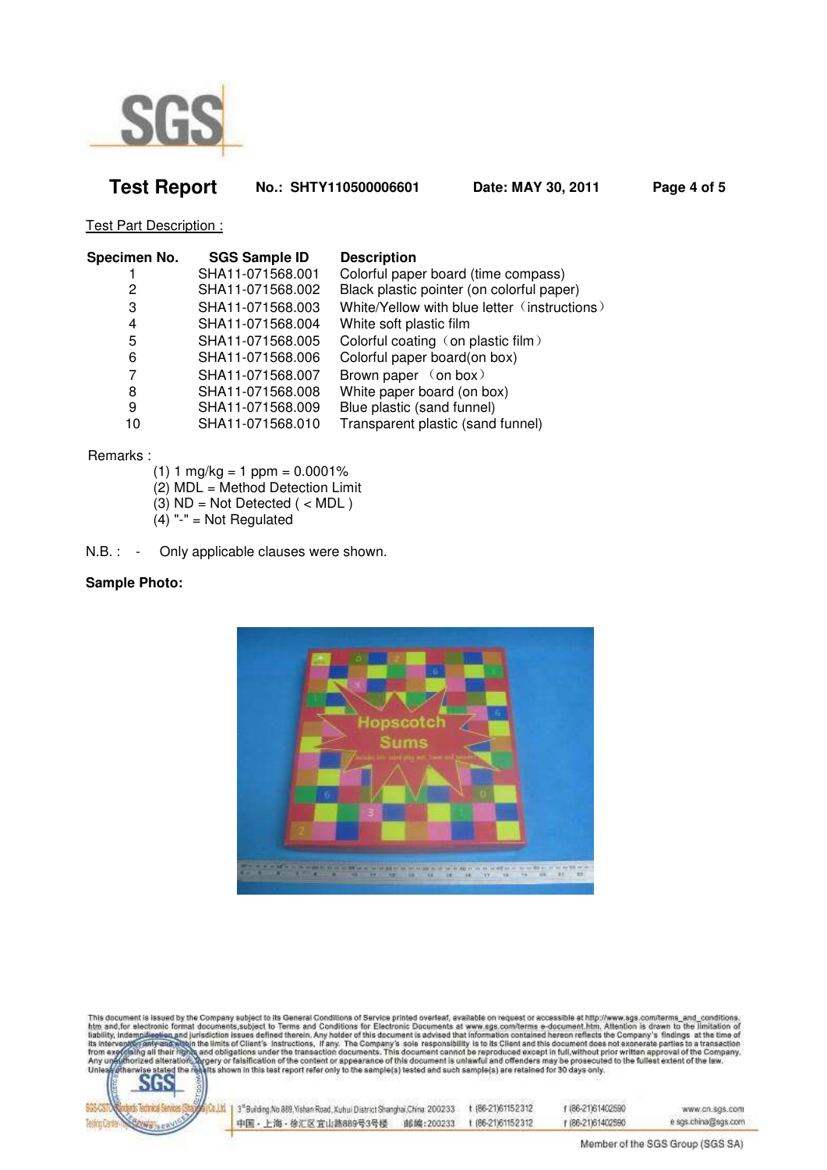

## **Test Report No.: SHTY110500006601 Date: MAY 30, 2011 Page 4 of 5**

Test Part Description :

| Specimen No. | <b>SGS Sample ID</b> | <b>Description</b>                           |
|--------------|----------------------|----------------------------------------------|
|              | SHA11-071568.001     | Colorful paper board (time compass)          |
| 2            | SHA11-071568.002     | Black plastic pointer (on colorful paper)    |
| 3            | SHA11-071568.003     | White/Yellow with blue letter (instructions) |
| 4            | SHA11-071568.004     | White soft plastic film                      |
| 5            | SHA11-071568.005     | Colorful coating (on plastic film)           |
| 6            | SHA11-071568.006     | Colorful paper board(on box)                 |
| 7            | SHA11-071568.007     | Brown paper (on box)                         |
| 8            | SHA11-071568.008     | White paper board (on box)                   |
| 9            | SHA11-071568.009     | Blue plastic (sand funnel)                   |
| 10           | SHA11-071568.010     | Transparent plastic (sand funnel)            |

Remarks :

- $(1)$  1 mg/kg = 1 ppm = 0.0001%
- $(2)$  MDL = Method Detection Limit
- (3)  $ND = Not Detection$  ( < MDL )
- $(4)$  "-" = Not Regulated
- N.B. : Only applicable clauses were shown.

#### **Sample Photo:**



This document is issued by the Company subject to its General Conditions of Service printed overleaf, available on request or accessible at http://www.sgs.com/terms\_and\_conditions<br>htm\_and\_for\_electronic format documents,su



| 3 <sup>1</sup> Building No.889, Yishan Road, Xuhui District Shanghai China. 200233. | t (86-21)61152312 | f (86-21)61402590 | www.cn.sgs.com      |
|-------------------------------------------------------------------------------------|-------------------|-------------------|---------------------|
| 中国・上海・徐汇区宜山路889号3号楼<br>邮编:200233                                                    | t (86-21)61152312 | 186-2161402590    | e sgs.china@sgs.com |